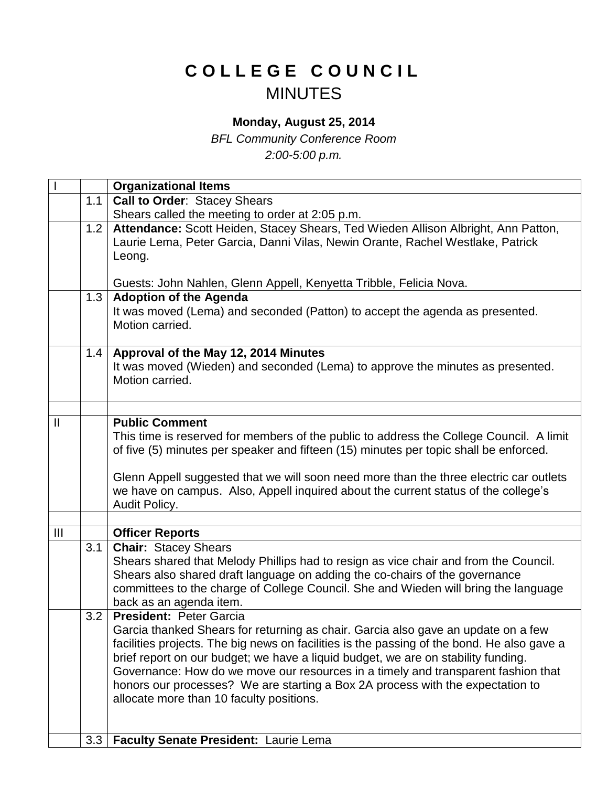## **C O L L E G E C O U N C I L** MINUTES

## **Monday, August 25, 2014**

*BFL Community Conference Room 2:00-5:00 p.m.*

|                |     | <b>Organizational Items</b>                                                                                                                                                                                                                                                                                                                                                                                                                                                                                               |
|----------------|-----|---------------------------------------------------------------------------------------------------------------------------------------------------------------------------------------------------------------------------------------------------------------------------------------------------------------------------------------------------------------------------------------------------------------------------------------------------------------------------------------------------------------------------|
|                | 1.1 | <b>Call to Order: Stacey Shears</b>                                                                                                                                                                                                                                                                                                                                                                                                                                                                                       |
|                |     | Shears called the meeting to order at 2:05 p.m.                                                                                                                                                                                                                                                                                                                                                                                                                                                                           |
|                | 1.2 | Attendance: Scott Heiden, Stacey Shears, Ted Wieden Allison Albright, Ann Patton,<br>Laurie Lema, Peter Garcia, Danni Vilas, Newin Orante, Rachel Westlake, Patrick<br>Leong.                                                                                                                                                                                                                                                                                                                                             |
|                |     | Guests: John Nahlen, Glenn Appell, Kenyetta Tribble, Felicia Nova.                                                                                                                                                                                                                                                                                                                                                                                                                                                        |
|                | 1.3 | <b>Adoption of the Agenda</b><br>It was moved (Lema) and seconded (Patton) to accept the agenda as presented.<br>Motion carried.                                                                                                                                                                                                                                                                                                                                                                                          |
|                | 1.4 | Approval of the May 12, 2014 Minutes<br>It was moved (Wieden) and seconded (Lema) to approve the minutes as presented.<br>Motion carried.                                                                                                                                                                                                                                                                                                                                                                                 |
|                |     |                                                                                                                                                                                                                                                                                                                                                                                                                                                                                                                           |
| $\mathbf{I}$   |     | <b>Public Comment</b><br>This time is reserved for members of the public to address the College Council. A limit<br>of five (5) minutes per speaker and fifteen (15) minutes per topic shall be enforced.                                                                                                                                                                                                                                                                                                                 |
|                |     | Glenn Appell suggested that we will soon need more than the three electric car outlets<br>we have on campus. Also, Appell inquired about the current status of the college's<br>Audit Policy.                                                                                                                                                                                                                                                                                                                             |
|                |     |                                                                                                                                                                                                                                                                                                                                                                                                                                                                                                                           |
| $\mathbf{III}$ |     | <b>Officer Reports</b>                                                                                                                                                                                                                                                                                                                                                                                                                                                                                                    |
|                | 3.1 | <b>Chair: Stacey Shears</b><br>Shears shared that Melody Phillips had to resign as vice chair and from the Council.<br>Shears also shared draft language on adding the co-chairs of the governance<br>committees to the charge of College Council. She and Wieden will bring the language<br>back as an agenda item.                                                                                                                                                                                                      |
|                | 3.2 | <b>President: Peter Garcia</b><br>Garcia thanked Shears for returning as chair. Garcia also gave an update on a few<br>facilities projects. The big news on facilities is the passing of the bond. He also gave a<br>brief report on our budget; we have a liquid budget, we are on stability funding.<br>Governance: How do we move our resources in a timely and transparent fashion that<br>honors our processes? We are starting a Box 2A process with the expectation to<br>allocate more than 10 faculty positions. |
|                | 3.3 | Faculty Senate President: Laurie Lema                                                                                                                                                                                                                                                                                                                                                                                                                                                                                     |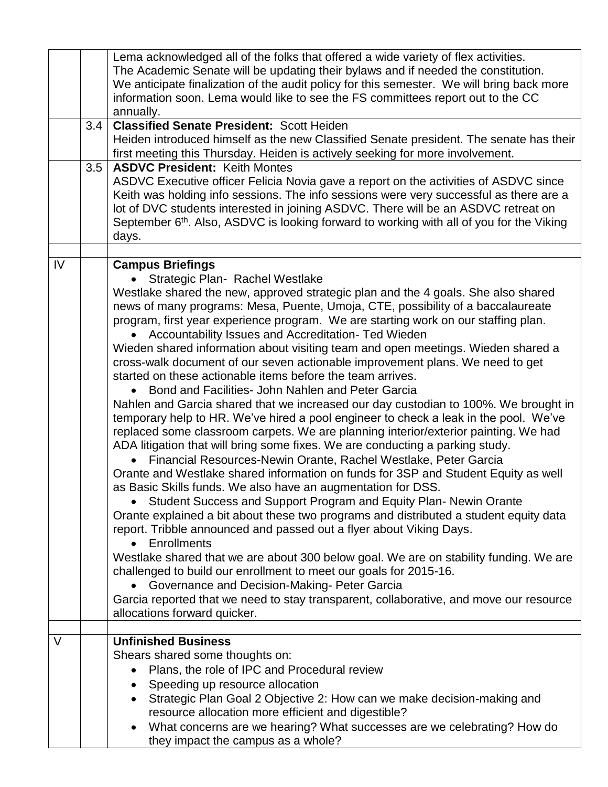|        |     | Lema acknowledged all of the folks that offered a wide variety of flex activities.<br>The Academic Senate will be updating their bylaws and if needed the constitution.<br>We anticipate finalization of the audit policy for this semester. We will bring back more |
|--------|-----|----------------------------------------------------------------------------------------------------------------------------------------------------------------------------------------------------------------------------------------------------------------------|
|        |     | information soon. Lema would like to see the FS committees report out to the CC<br>annually.                                                                                                                                                                         |
|        | 3.4 | <b>Classified Senate President: Scott Heiden</b>                                                                                                                                                                                                                     |
|        |     | Heiden introduced himself as the new Classified Senate president. The senate has their<br>first meeting this Thursday. Heiden is actively seeking for more involvement.                                                                                              |
|        | 3.5 | <b>ASDVC President: Keith Montes</b>                                                                                                                                                                                                                                 |
|        |     | ASDVC Executive officer Felicia Novia gave a report on the activities of ASDVC since                                                                                                                                                                                 |
|        |     | Keith was holding info sessions. The info sessions were very successful as there are a                                                                                                                                                                               |
|        |     | lot of DVC students interested in joining ASDVC. There will be an ASDVC retreat on                                                                                                                                                                                   |
|        |     | September 6 <sup>th</sup> . Also, ASDVC is looking forward to working with all of you for the Viking                                                                                                                                                                 |
|        |     | days.                                                                                                                                                                                                                                                                |
|        |     |                                                                                                                                                                                                                                                                      |
| IV     |     | <b>Campus Briefings</b>                                                                                                                                                                                                                                              |
|        |     | Strategic Plan-Rachel Westlake<br>Westlake shared the new, approved strategic plan and the 4 goals. She also shared                                                                                                                                                  |
|        |     | news of many programs: Mesa, Puente, Umoja, CTE, possibility of a baccalaureate                                                                                                                                                                                      |
|        |     | program, first year experience program. We are starting work on our staffing plan.                                                                                                                                                                                   |
|        |     | Accountability Issues and Accreditation- Ted Wieden                                                                                                                                                                                                                  |
|        |     | Wieden shared information about visiting team and open meetings. Wieden shared a                                                                                                                                                                                     |
|        |     | cross-walk document of our seven actionable improvement plans. We need to get                                                                                                                                                                                        |
|        |     | started on these actionable items before the team arrives.                                                                                                                                                                                                           |
|        |     | • Bond and Facilities- John Nahlen and Peter Garcia                                                                                                                                                                                                                  |
|        |     | Nahlen and Garcia shared that we increased our day custodian to 100%. We brought in<br>temporary help to HR. We've hired a pool engineer to check a leak in the pool. We've                                                                                          |
|        |     | replaced some classroom carpets. We are planning interior/exterior painting. We had                                                                                                                                                                                  |
|        |     | ADA litigation that will bring some fixes. We are conducting a parking study.                                                                                                                                                                                        |
|        |     | Financial Resources-Newin Orante, Rachel Westlake, Peter Garcia                                                                                                                                                                                                      |
|        |     | Orante and Westlake shared information on funds for 3SP and Student Equity as well                                                                                                                                                                                   |
|        |     | as Basic Skills funds. We also have an augmentation for DSS.                                                                                                                                                                                                         |
|        |     | Student Success and Support Program and Equity Plan- Newin Orante                                                                                                                                                                                                    |
|        |     | Orante explained a bit about these two programs and distributed a student equity data                                                                                                                                                                                |
|        |     | report. Tribble announced and passed out a flyer about Viking Days.                                                                                                                                                                                                  |
|        |     | <b>Enrollments</b>                                                                                                                                                                                                                                                   |
|        |     | Westlake shared that we are about 300 below goal. We are on stability funding. We are<br>challenged to build our enrollment to meet our goals for 2015-16.                                                                                                           |
|        |     | Governance and Decision-Making- Peter Garcia                                                                                                                                                                                                                         |
|        |     | Garcia reported that we need to stay transparent, collaborative, and move our resource                                                                                                                                                                               |
|        |     | allocations forward quicker.                                                                                                                                                                                                                                         |
|        |     |                                                                                                                                                                                                                                                                      |
| $\vee$ |     | <b>Unfinished Business</b>                                                                                                                                                                                                                                           |
|        |     | Shears shared some thoughts on:                                                                                                                                                                                                                                      |
|        |     | Plans, the role of IPC and Procedural review                                                                                                                                                                                                                         |
|        |     | Speeding up resource allocation                                                                                                                                                                                                                                      |
|        |     | Strategic Plan Goal 2 Objective 2: How can we make decision-making and<br>$\bullet$<br>resource allocation more efficient and digestible?                                                                                                                            |
|        |     | What concerns are we hearing? What successes are we celebrating? How do                                                                                                                                                                                              |
|        |     | they impact the campus as a whole?                                                                                                                                                                                                                                   |